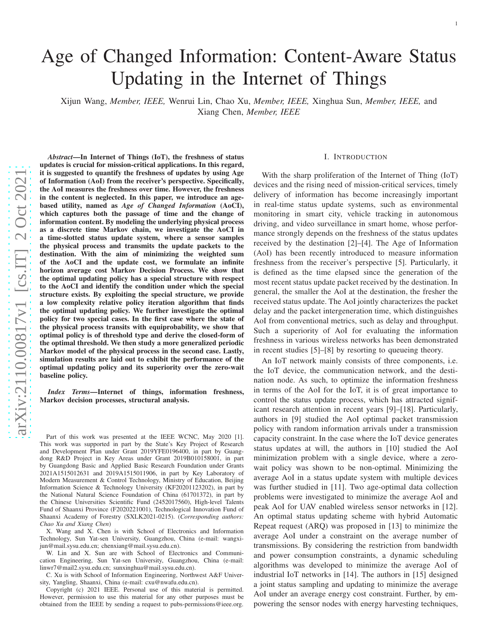# Age of Changed Information: Content-Aware Status Updating in the Internet of Things

Xijun Wang, *Member, IEEE,* Wenrui Lin, Chao Xu, *Member, IEEE,* Xinghua Sun, *Member, IEEE,* and Xiang Chen, *Member, IEEE*

*Abstract*—In Internet of Things (IoT), the freshness of status updates is crucial for mission-critical applications. In this regard, it is suggested to quantify the freshness of updates by using Age of Information (AoI) from the receiver's perspective. Specifically, the AoI measures the freshness over time. However, the freshness in the content is neglected. In this paper, we introduce an agebased utility, named as *Age of Changed Information* (AoCI), which captures both the passage of time and the change of information content. By modeling the underlying physical process as a discrete time Markov chain, we investigate the AoCI in a time-slotted status update system, where a sensor samples the physical process and transmits the update packets to the destination. With the aim of minimizing the weighted sum of the AoCI and the update cost, we formulate an infinite horizon average cost Markov Decision Process. We show that the optimal updating policy has a special structure with respect to the AoCI and identify the condition under which the specia l structure exists. By exploiting the special structure, we provide a low complexity relative policy iteration algorithm that finds the optimal updating policy. We further investigate the optimal policy for two special cases. In the first case where the state of the physical process transits with equiprobability, we show that optimal policy is of threshold type and derive the closed-form of the optimal threshold. We then study a more generalized periodic Markov model of the physical process in the second case. Lastly, simulation results are laid out to exhibit the performance of the optimal updating policy and its superiority over the zero-wait baseline policy.

*Index Terms*—Internet of things, information freshness, Markov decision processes, structural analysis.

Part of this work was presented at the IEEE WCNC, May 2020 [\[1\]](#page-12-0). This work was supported in part by the State's Key Project of Research and Development Plan under Grant 2019YFE0196400, in part by Guangdong R&D Project in Key Areas under Grant 2019B010158001, in part by Guangdong Basic and Applied Basic Research Foundation under Grants 2021A1515012631 and 2019A1515011906, in part by Key Laboratory of Modern Measurement & Control Technology, Ministry of Education, Beijing Information Science & Technology University (KF20201123202), in part by the National Natural Science Foundation of China (61701372), in part by the Chinese Universities Scientific Fund (2452017560), High-level Talents Fund of Shaanxi Province (F2020221001), Technological Innovation Fund of Shaanxi Academy of Forestry (SXLK2021-0215). (*Corresponding authors: Chao Xu and Xiang Chen* )

X. Wang and X. Chen is with School of Electronics and Information Technology, Sun Yat-sen University, Guangzhou, China (e-mail: wangxijun@mail.sysu.edu.cn; chenxiang@mail.sysu.edu.cn).

W. Lin and X. Sun are with School of Electronics and Communication Engineering, Sun Yat-sen University, Guangzhou, China (e-mail: linwr7@mail2.sysu.edu.cn; sunxinghua@mail.sysu.edu.cn).

C. Xu is with School of Information Engineering, Northwest A&F University, Yangling, Shaanxi, China (e-mail: cxu@nwafu.edu.cn).

Copyright (c) 2021 IEEE. Personal use of this material is permitted. However, permission to use this material for any other purposes must be obtained from the IEEE by sending a request to pubs-permissions@ieee.org.

# I. INTRODUCTION

With the sharp proliferation of the Internet of Thing (IoT) devices and the rising need of mission-critical services, timely delivery of information has become increasingly important in real-time status update systems, such as environmental monitoring in smart city, vehicle tracking in autonomous driving, and video surveillance in smart home, whose perfor mance strongly depends on the freshness of the status update s received by the destination [\[2\]](#page-12-1)–[\[4\]](#page-13-0). The Age of Information (AoI) has been recently introduced to measure information freshness from the receiver's perspective [\[5\]](#page-13-1). Particularly, it is defined as the time elapsed since the generation of the most recent status update packet received by the destination. In general, the smaller the AoI at the destination, the fresher the received status update. The AoI jointly characterizes the packet delay and the packet intergeneration time, which distinguishes AoI from conventional metrics, such as delay and throughput . Such a superiority of AoI for evaluating the information freshness in various wireless networks has been demonstrated in recent studies [\[5\]](#page-13-1)–[\[8\]](#page-13-2) by resorting to queueing theory.

An IoT network mainly consists of three components, i.e. the IoT device, the communication network, and the destination node. As such, to optimize the information freshness in terms of the AoI for the IoT, it is of great importance to control the status update process, which has attracted significant research attention in recent years [\[9\]](#page-13-3)–[\[18\]](#page-13-4). Particularly, authors in [\[9\]](#page-13-3) studied the AoI optimal packet transmission policy with random information arrivals under a transmission capacity constraint. In the case where the IoT device generates status updates at will, the authors in [\[10\]](#page-13-5) studied the AoI minimization problem with a single device, where a zerowait policy was shown to be non-optimal. Minimizing the average AoI in a status update system with multiple devices was further studied in [\[11\]](#page-13-6). Two age-optimal data collectio n problems were investigated to minimize the average AoI and peak AoI for UAV enabled wireless sensor networks in [\[12\]](#page-13-7). An optimal status updating scheme with hybrid Automatic Repeat request (ARQ) was proposed in [\[13\]](#page-13-8) to minimize the average AoI under a constraint on the average number of transmissions. By considering the restriction from bandwidth and power consumption constraints, a dynamic scheduling algorithms was developed to minimize the average AoI of industrial IoT networks in [\[14\]](#page-13-9). The authors in [\[15\]](#page-13-10) designe d a joint status sampling and updating to minimize the average AoI under an average energy cost constraint. Further, by empowering the sensor nodes with energy harvesting techniques,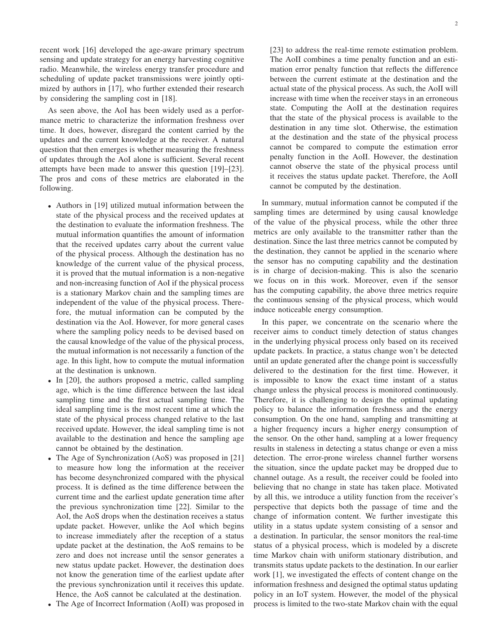recent work [\[16\]](#page-13-11) developed the age-aware primary spectrum sensing and update strategy for an energy harvesting cognitive radio. Meanwhile, the wireless energy transfer procedure and scheduling of update packet transmissions were jointly optimized by authors in [\[17\]](#page-13-12), who further extended their research by considering the sampling cost in [\[18\]](#page-13-4).

As seen above, the AoI has been widely used as a performance metric to characterize the information freshness over time. It does, however, disregard the content carried by the updates and the current knowledge at the receiver. A natural question that then emerges is whether measuring the freshness of updates through the AoI alone is sufficient. Several recent attempts have been made to answer this question [\[19\]](#page-13-13)–[\[23\]](#page-13-14). The pros and cons of these metrics are elaborated in the following.

- Authors in [\[19\]](#page-13-13) utilized mutual information between the state of the physical process and the received updates at the destination to evaluate the information freshness. The mutual information quantifies the amount of information that the received updates carry about the current value of the physical process. Although the destination has no knowledge of the current value of the physical process, it is proved that the mutual information is a non-negative and non-increasing function of AoI if the physical process is a stationary Markov chain and the sampling times are independent of the value of the physical process. Therefore, the mutual information can be computed by the destination via the AoI. However, for more general cases where the sampling policy needs to be devised based on the causal knowledge of the value of the physical process, the mutual information is not necessarily a function of the age. In this light, how to compute the mutual information at the destination is unknown.
- In [\[20\]](#page-13-15), the authors proposed a metric, called sampling age, which is the time difference between the last ideal sampling time and the first actual sampling time. The ideal sampling time is the most recent time at which the state of the physical process changed relative to the last received update. However, the ideal sampling time is not available to the destination and hence the sampling age cannot be obtained by the destination.
- The Age of Synchronization (AoS) was proposed in [\[21\]](#page-13-16) to measure how long the information at the receiver has become desynchronized compared with the physical process. It is defined as the time difference between the current time and the earliest update generation time after the previous synchronization time [\[22\]](#page-13-17). Similar to the AoI, the AoS drops when the destination receives a status update packet. However, unlike the AoI which begins to increase immediately after the reception of a status update packet at the destination, the AoS remains to be zero and does not increase until the sensor generates a new status update packet. However, the destination does not know the generation time of the earliest update after the previous synchronization until it receives this update. Hence, the AoS cannot be calculated at the destination.
- The Age of Incorrect Information (AoII) was proposed in

2

[\[23\]](#page-13-14) to address the real-time remote estimation problem. The AoII combines a time penalty function and an estimation error penalty function that reflects the difference between the current estimate at the destination and the actual state of the physical process. As such, the AoII will increase with time when the receiver stays in an erroneous state. Computing the AoII at the destination requires that the state of the physical process is available to the destination in any time slot. Otherwise, the estimation at the destination and the state of the physical process cannot be compared to compute the estimation error penalty function in the AoII. However, the destination cannot observe the state of the physical process until it receives the status update packet. Therefore, the AoII cannot be computed by the destination.

In summary, mutual information cannot be computed if the sampling times are determined by using causal knowledge of the value of the physical process, while the other three metrics are only available to the transmitter rather than the destination. Since the last three metrics cannot be computed by the destination, they cannot be applied in the scenario where the sensor has no computing capability and the destination is in charge of decision-making. This is also the scenario we focus on in this work. Moreover, even if the sensor has the computing capability, the above three metrics require the continuous sensing of the physical process, which would induce noticeable energy consumption.

In this paper, we concentrate on the scenario where the receiver aims to conduct timely detection of status changes in the underlying physical process only based on its received update packets. In practice, a status change won't be detected until an update generated after the change point is successfully delivered to the destination for the first time. However, it is impossible to know the exact time instant of a status change unless the physical process is monitored continuously. Therefore, it is challenging to design the optimal updating policy to balance the information freshness and the energy consumption. On the one hand, sampling and transmitting at a higher frequency incurs a higher energy consumption of the sensor. On the other hand, sampling at a lower frequency results in staleness in detecting a status change or even a miss detection. The error-prone wireless channel further worsens the situation, since the update packet may be dropped due to channel outage. As a result, the receiver could be fooled into believing that no change in state has taken place. Motivated by all this, we introduce a utility function from the receiver's perspective that depicts both the passage of time and the change of information content. We further investigate this utility in a status update system consisting of a sensor and a destination. In particular, the sensor monitors the real-time status of a physical process, which is modeled by a discrete time Markov chain with uniform stationary distribution, and transmits status update packets to the destination. In our earlier work [\[1\]](#page-12-0), we investigated the effects of content change on the information freshness and designed the optimal status updating policy in an IoT system. However, the model of the physical process is limited to the two-state Markov chain with the equal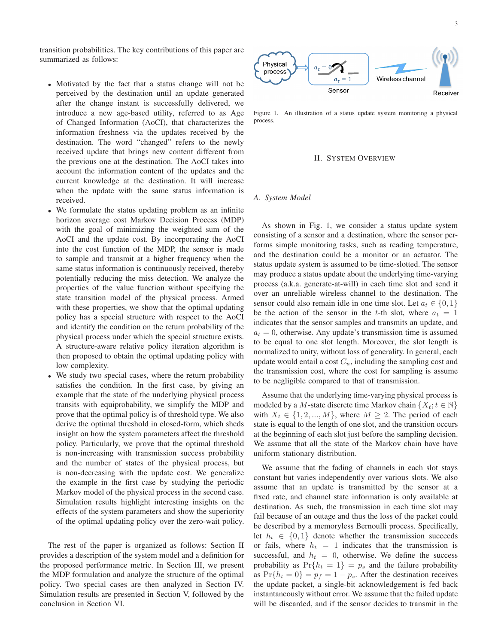transition probabilities. The key contributions of this paper are summarized as follows:

- Motivated by the fact that a status change will not be perceived by the destination until an update generated after the change instant is successfully delivered, we introduce a new age-based utility, referred to as Age of Changed Information (AoCI), that characterizes the information freshness via the updates received by the destination. The word "changed" refers to the newly received update that brings new content different from the previous one at the destination. The AoCI takes into account the information content of the updates and the current knowledge at the destination. It will increase when the update with the same status information is received.
- We formulate the status updating problem as an infinite horizon average cost Markov Decision Process (MDP) with the goal of minimizing the weighted sum of the AoCI and the update cost. By incorporating the AoCI into the cost function of the MDP, the sensor is made to sample and transmit at a higher frequency when the same status information is continuously received, thereby potentially reducing the miss detection. We analyze the properties of the value function without specifying the state transition model of the physical process. Armed with these properties, we show that the optimal updating policy has a special structure with respect to the AoCI and identify the condition on the return probability of the physical process under which the special structure exists. A structure-aware relative policy iteration algorithm is then proposed to obtain the optimal updating policy with low complexity.
- We study two special cases, where the return probability satisfies the condition. In the first case, by giving an example that the state of the underlying physical process transits with equiprobability, we simplify the MDP and prove that the optimal policy is of threshold type. We also derive the optimal threshold in closed-form, which sheds insight on how the system parameters affect the threshold policy. Particularly, we prove that the optimal threshold is non-increasing with transmission success probability and the number of states of the physical process, but is non-decreasing with the update cost. We generalize the example in the first case by studying the periodic Markov model of the physical process in the second case. Simulation results highlight interesting insights on the effects of the system parameters and show the superiority of the optimal updating policy over the zero-wait policy.

The rest of the paper is organized as follows: Section II provides a description of the system model and a definition for the proposed performance metric. In Section III, we present the MDP formulation and analyze the structure of the optimal policy. Two special cases are then analyzed in Section IV. Simulation results are presented in Section V, followed by the conclusion in Section VI.



<span id="page-2-0"></span>Figure 1. An illustration of a status update system monitoring a physical process.

#### II. SYSTEM OVERVIEW

## *A. System Model*

As shown in Fig. [1,](#page-2-0) we consider a status update system consisting of a sensor and a destination, where the sensor performs simple monitoring tasks, such as reading temperature, and the destination could be a monitor or an actuator. The status update system is assumed to be time-slotted. The sensor may produce a status update about the underlying time-varying process (a.k.a. generate-at-will) in each time slot and send it over an unreliable wireless channel to the destination. The sensor could also remain idle in one time slot. Let  $a_t \in \{0, 1\}$ be the action of the sensor in the t-th slot, where  $a_t = 1$ indicates that the sensor samples and transmits an update, and  $a_t = 0$ , otherwise. Any update's transmission time is assumed to be equal to one slot length. Moreover, the slot length is normalized to unity, without loss of generality. In general, each update would entail a cost  $C_u$ , including the sampling cost and the transmission cost, where the cost for sampling is assume to be negligible compared to that of transmission.

Assume that the underlying time-varying physical process is modeled by a M-state discrete time Markov chain  $\{X_t; t \in \mathbb{N}\}\$ with  $X_t \in \{1, 2, ..., M\}$ , where  $M \geq 2$ . The period of each state is equal to the length of one slot, and the transition occurs at the beginning of each slot just before the sampling decision. We assume that all the state of the Markov chain have have uniform stationary distribution.

We assume that the fading of channels in each slot stays constant but varies independently over various slots. We also assume that an update is transmitted by the sensor at a fixed rate, and channel state information is only available at destination. As such, the transmission in each time slot may fail because of an outage and thus the loss of the packet could be described by a memoryless Bernoulli process. Specifically, let  $h_t \in \{0,1\}$  denote whether the transmission succeeds or fails, where  $h_t = 1$  indicates that the transmission is successful, and  $h_t = 0$ , otherwise. We define the success probability as  $Pr{h_t = 1} = p_s$  and the failure probability as  $Pr{h_t = 0} = p_f = 1 - p_s$ . After the destination receives the update packet, a single-bit acknowledgement is fed back instantaneously without error. We assume that the failed update will be discarded, and if the sensor decides to transmit in the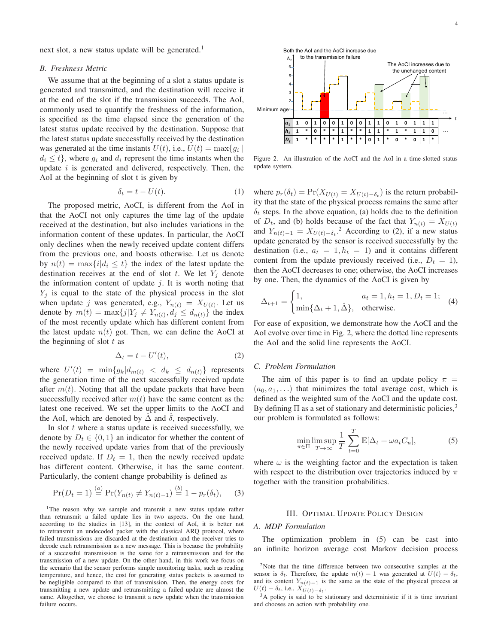next slot, a new status update will be generated.<sup>[1](#page-3-0)</sup>

#### *B. Freshness Metric*

We assume that at the beginning of a slot a status update is generated and transmitted, and the destination will receive it at the end of the slot if the transmission succeeds. The AoI, commonly used to quantify the freshness of the information, is specified as the time elapsed since the generation of the latest status update received by the destination. Suppose that the latest status update successfully received by the destination was generated at the time instants  $U(t)$ , i.e.,  $U(t) = \max\{g_i \mid$  $d_i \leq t$ , where  $q_i$  and  $d_i$  represent the time instants when the update  $i$  is generated and delivered, respectively. Then, the AoI at the beginning of slot t is given by

$$
\delta_t = t - U(t). \tag{1}
$$

The proposed metric, AoCI, is different from the AoI in that the AoCI not only captures the time lag of the update received at the destination, but also includes variations in the information content of these updates. In particular, the AoCI only declines when the newly received update content differs from the previous one, and boosts otherwise. Let us denote by  $n(t) = \max\{i | d_i \leq t\}$  the index of the latest update the destination receives at the end of slot t. We let  $Y_i$  denote the information content of update  $j$ . It is worth noting that  $Y_i$  is equal to the state of the physical process in the slot when update j was generated, e.g.,  $Y_{n(t)} = X_{U(t)}$ . Let us denote by  $m(t) = \max\{j|Y_j \neq Y_{n(t)}, d_j \leq d_{n(t)}\}$  the index of the most recently update which has different content from the latest update  $n(t)$  got. Then, we can define the AoCI at the beginning of slot  $t$  as

<span id="page-3-2"></span>
$$
\Delta_t = t - U'(t),\tag{2}
$$

where  $U'(t) = \min\{g_k|d_{m(t)} < d_k \leq d_{n(t)}\}$  represents the generation time of the next successfully received update after  $m(t)$ . Noting that all the update packets that have been successfully received after  $m(t)$  have the same content as the latest one received. We set the upper limits to the AoCI and the AoI, which are denoted by  $\Delta$  and  $\delta$ , respectively.

In slot  $t$  where a status update is received successfully, we denote by  $D_t \in \{0,1\}$  an indicator for whether the content of the newly received update varies from that of the previously received update. If  $D_t = 1$ , then the newly received update has different content. Otherwise, it has the same content. Particularly, the content change probability is defined as

$$
\Pr(D_t = 1) \stackrel{(a)}{=} \Pr(Y_{n(t)} \neq Y_{n(t)-1}) \stackrel{(b)}{=} 1 - p_r(\delta_t), \quad (3)
$$

<span id="page-3-0"></span><sup>1</sup>The reason why we sample and transmit a new status update rather than retransmit a failed update lies in two aspects. On the one hand, according to the studies in [\[13\]](#page-13-8), in the context of AoI, it is better not to retransmit an undecoded packet with the classical ARQ protocol, where failed transmissions are discarded at the destination and the receiver tries to decode each retransmission as a new message. This is because the probability of a successful transmission is the same for a retransmission and for the transmission of a new update. On the other hand, in this work we focus on the scenario that the sensor performs simple monitoring tasks, such as reading temperature, and hence, the cost for generating status packets is assumed to be negligible compared to that of transmission. Then, the energy costs for transmitting a new update and retransmitting a failed update are almost the same. Altogether, we choose to transmit a new update when the transmission failure occurs.



<span id="page-3-3"></span>Figure 2. An illustration of the AoCI and the AoI in a time-slotted status update system.

where  $p_r(\delta_t) = \Pr(X_{U(t)} = X_{U(t) - \delta_t})$  is the return probability that the state of the physical process remains the same after  $\delta_t$  steps. In the above equation, (a) holds due to the definition of  $D_t$ , and (b) holds because of the fact that  $Y_{n(t)} = X_{U(t)}$ and  $Y_{n(t)-1} = X_{U(t)-\delta_t}$ <sup>[2](#page-3-1)</sup> According to [\(2\)](#page-3-2), if a new status update generated by the sensor is received successfully by the destination (i.e.,  $a_t = 1, h_t = 1$ ) and it contains different content from the update previously received (i.e.,  $D_t = 1$ ), then the AoCI decreases to one; otherwise, the AoCI increases by one. Then, the dynamics of the AoCI is given by

<span id="page-3-6"></span>
$$
\Delta_{t+1} = \begin{cases} 1, & a_t = 1, h_t = 1, D_t = 1; \\ \min{\Delta_t + 1, \hat{\Delta}}, & \text{otherwise.} \end{cases}
$$
 (4)

For ease of exposition, we demonstrate how the AoCI and the AoI evolve over time in Fig. [2,](#page-3-3) where the dotted line represents the AoI and the solid line represents the AoCI.

## *C. Problem Formulation*

The aim of this paper is to find an update policy  $\pi$  =  $(a_0, a_1, \ldots)$  that minimizes the total average cost, which is defined as the weighted sum of the AoCI and the update cost. By defining  $\Pi$  as a set of stationary and deterministic policies,<sup>[3](#page-3-4)</sup> our problem is formulated as follows:

<span id="page-3-5"></span>
$$
\min_{\pi \in \Pi} \limsup_{T \to \infty} \frac{1}{T} \sum_{t=0}^{T} \mathbb{E}[\Delta_t + \omega a_t C_u],\tag{5}
$$

where  $\omega$  is the weighting factor and the expectation is taken with respect to the distribution over trajectories induced by  $\pi$ together with the transition probabilities.

# III. OPTIMAL UPDATE POLICY DESIGN

## <span id="page-3-7"></span>*A. MDP Formulation*

The optimization problem in [\(5\)](#page-3-5) can be cast into an infinite horizon average cost Markov decision process

<span id="page-3-1"></span><sup>&</sup>lt;sup>2</sup>Note that the time difference between two consecutive samples at the sensor is  $\delta_t$ . Therefore, the update  $n(t) - 1$  was generated at  $\dot{U}(t) - \delta_t$ , and its content  $Y_{n(t)-1}$  is the same as the state of the physical process at  $U(t) - \delta_t$ , i.e.,  $X_{U(t) - \delta_t}$ .

<span id="page-3-4"></span><sup>3</sup>A policy is said to be stationary and deterministic if it is time invariant and chooses an action with probability one.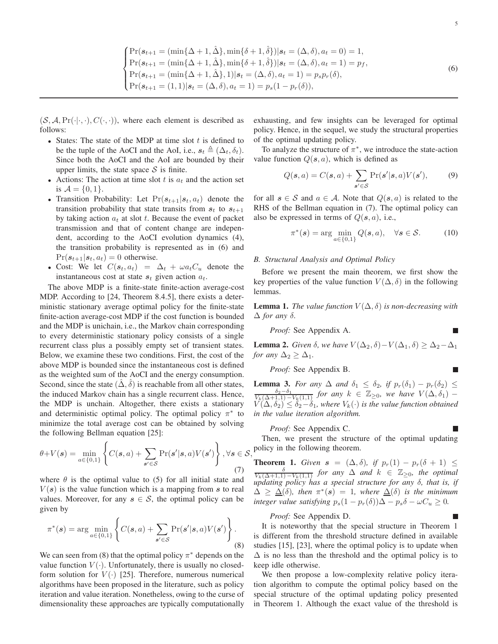<span id="page-4-0"></span>
$$
\begin{cases}\n\Pr(s_{t+1} = (\min\{\Delta + 1, \hat{\Delta}\}, \min\{\delta + 1, \hat{\delta}\}) | s_t = (\Delta, \delta), a_t = 0) = 1, \\
\Pr(s_{t+1} = (\min\{\Delta + 1, \hat{\Delta}\}, \min\{\delta + 1, \hat{\delta}\}) | s_t = (\Delta, \delta), a_t = 1) = p_f, \\
\Pr(s_{t+1} = (\min\{\Delta + 1, \hat{\Delta}\}, 1) | s_t = (\Delta, \delta), a_t = 1) = p_s p_r(\delta), \\
\Pr(s_{t+1} = (1, 1) | s_t = (\Delta, \delta), a_t = 1) = p_s(1 - p_r(\delta)),\n\end{cases}
$$
\n(6)

 $(S, \mathcal{A}, \Pr(\cdot|\cdot, \cdot), C(\cdot, \cdot))$ , where each element is described as follows:

- States: The state of the MDP at time slot  $t$  is defined to be the tuple of the AoCI and the AoI, i.e.,  $s_t \triangleq (\Delta_t, \delta_t)$ . Since both the AoCI and the AoI are bounded by their upper limits, the state space  $S$  is finite.
- Actions: The action at time slot t is  $a_t$  and the action set is  $A = \{0, 1\}.$
- Transition Probability: Let  $Pr(s_{t+1}|s_t, a_t)$  denote the transition probability that state transits from  $s_t$  to  $s_{t+1}$ by taking action  $a_t$  at slot t. Because the event of packet transmission and that of content change are independent, according to the AoCI evolution dynamics [\(4\)](#page-3-6), the transition probability is represented as in [\(6\)](#page-4-0) and  $Pr(s_{t+1}|s_t, a_t) = 0$  otherwise.
- Cost: We let  $C(\mathbf{s}_t, a_t) = \Delta_t + \omega a_t C_u$  denote the instantaneous cost at state  $s_t$  given action  $a_t$ .

The above MDP is a finite-state finite-action average-cost MDP. According to [\[24,](#page-13-18) Theorem 8.4.5], there exists a deterministic stationary average optimal policy for the finite-state finite-action average-cost MDP if the cost function is bounded and the MDP is unichain, i.e., the Markov chain corresponding to every deterministic stationary policy consists of a single recurrent class plus a possibly empty set of transient states. Below, we examine these two conditions. First, the cost of the above MDP is bounded since the instantaneous cost is defined as the weighted sum of the AoCI and the energy consumption. Second, since the state  $(\hat{\Delta}, \hat{\delta})$  is reachable from all other states, the induced Markov chain has a single recurrent class. Hence, the MDP is unchain. Altogether, there exists a stationary and deterministic optimal policy. The optimal policy  $\pi^*$  to minimize the total average cost can be obtained by solving the following Bellman equation [\[25\]](#page-13-19):

<span id="page-4-2"></span>
$$
\theta + V(\boldsymbol{s}) = \min_{a \in \{0,1\}} \left\{ C(\boldsymbol{s}, a) + \sum_{\boldsymbol{s}' \in \mathcal{S}} \Pr(\boldsymbol{s}' | \boldsymbol{s}, a) V(\boldsymbol{s}') \right\}, \forall \boldsymbol{s} \in \mathcal{S},
$$
\n(7)

where  $\theta$  is the optimal value to [\(5\)](#page-3-5) for all initial state and  $V(s)$  is the value function which is a mapping from s to real values. Moreover, for any  $s \in S$ , the optimal policy can be given by

<span id="page-4-1"></span>
$$
\pi^*(s) = \arg\min_{a \in \{0,1\}} \left\{ C(s,a) + \sum_{s' \in \mathcal{S}} \Pr(s'|s,a)V(s') \right\}.
$$
\n(8)

We can seen from [\(8\)](#page-4-1) that the optimal policy  $\pi^*$  depends on the value function  $V(\cdot)$ . Unfortunately, there is usually no closedform solution for  $V(\cdot)$  [\[25\]](#page-13-19). Therefore, numerous numerical algorithms have been proposed in the literature, such as policy iteration and value iteration. Nonetheless, owing to the curse of dimensionality these approaches are typically computationally exhausting, and few insights can be leveraged for optimal policy. Hence, in the sequel, we study the structural properties of the optimal updating policy.

To analyze the structure of  $\pi^*$ , we introduce the state-action value function  $Q(s, a)$ , which is defined as

$$
Q(\mathbf{s}, a) = C(\mathbf{s}, a) + \sum_{\mathbf{s}' \in \mathcal{S}} \Pr(\mathbf{s}' | \mathbf{s}, a) V(\mathbf{s}'), \tag{9}
$$

for all  $s \in S$  and  $a \in A$ . Note that  $Q(s, a)$  is related to the RHS of the Bellman equation in [\(7\)](#page-4-2). The optimal policy can also be expressed in terms of  $Q(s, a)$ , i.e.,

<span id="page-4-7"></span>
$$
\pi^*(s) = \arg\min_{a \in \{0,1\}} Q(s, a), \quad \forall s \in \mathcal{S}.
$$
 (10)

# *B. Structural Analysis and Optimal Policy*

Before we present the main theorem, we first show the key properties of the value function  $V(\Delta, \delta)$  in the following lemmas.

<span id="page-4-4"></span>**Lemma 1.** *The value function*  $V(\Delta, \delta)$  *is non-decreasing with*  $\Delta$  *for any* δ*.* 

*Proof:* See Appendix [A.](#page-9-0)

<span id="page-4-5"></span>**Lemma 2.** *Given*  $\delta$ *, we have*  $V(\Delta_2, \delta) - V(\Delta_1, \delta) \geq \Delta_2 - \Delta_1$ *for any*  $\Delta_2 \geq \Delta_1$ *.* 

*Proof:* See Appendix [B.](#page-10-0)

<span id="page-4-6"></span>**Lemma 3.** For any  $\Delta$  and  $\delta_1 \leq \delta_2$ , if  $p_r(\delta_1) - p_r(\delta_2) \leq$ 

П

г

 $\frac{\delta_2-\delta_1}{V_k(\Delta+1,1)-V_k(1,1)}$  for any  $k \in \mathbb{Z}_{\geq 0}$ , we have  $V(\Delta,\delta_1)$  –  $V(\Delta, \delta_2) \leq \delta_2 - \delta_1$ , where  $V_k(\cdot)$  is the value function obtained *in the value iteration algorithm.*

## *Proof:* See Appendix [C.](#page-10-1)

Then, we present the structure of the optimal updating policy in the following theorem.

<span id="page-4-3"></span>**Theorem 1.** *Given*  $s = (\Delta, \delta)$ *, if*  $p_r(1) - p_r(\delta + 1) \leq$  $\frac{\delta}{V_k(\Delta+1,1)-V_k(1,1)}$  *for any*  $\Delta$  *and*  $k \in \mathbb{Z}_{\geq 0}$ *, the optimal updating policy has a special structure for any* δ*, that is, if*  $\Delta \geq \underline{\Delta}(\delta)$ , then  $\pi^*(s) = 1$ , where  $\underline{\Delta}(\delta)$  is the minimum *integer value satisfying*  $p_s(1 - p_r(\delta))\Delta - p_s\delta - \omega C_u \ge 0$ *.* 

#### *Proof:* See Appendix [D.](#page-11-0)

It is noteworthy that the special structure in Theorem 1 is different from the threshold structure defined in available studies [\[15\]](#page-13-10), [\[23\]](#page-13-14), where the optimal policy is to update when  $\Delta$  is no less than the threshold and the optimal policy is to keep idle otherwise.

We then propose a low-complexity relative policy iteration algorithm to compute the optimal policy based on the special structure of the optimal updating policy presented in Theorem [1.](#page-4-3) Although the exact value of the threshold is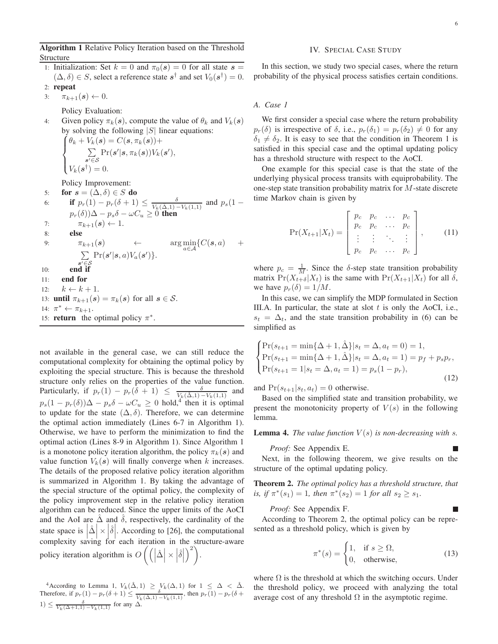Algorithm 1 Relative Policy Iteration based on the Threshold Structure

- 1: Initialization: Set  $k = 0$  and  $\pi_0(s) = 0$  for all state  $s =$  $(\Delta, \delta) \in S$ , select a reference state  $s^{\dagger}$  and set  $V_0(s^{\dagger}) = 0$ .
- 2: repeat
- 3:  $\pi_{k+1}(s) \leftarrow 0$ .

Policy Evaluation:

4: Given policy  $\pi_k(s)$ , compute the value of  $\theta_k$  and  $V_k(s)$  $\int \theta_k + V_k(s) = C(s, \pi_k(s)) +$ by solving the following  $|S|$  linear equations:  $\int$  $\sum$  $s' \overline{\in} \mathcal{S}$  $\Pr(\boldsymbol{s}'|\boldsymbol{s},\pi_k(\boldsymbol{s}))V_k(\boldsymbol{s}'),$ 

 $\overline{\mathcal{L}}$  $V_k(\mathbf{s}^\dagger)=0.$ 

Policy Improvement:

5: for  $s = (\Delta, \delta) \in S$  do 6: **if**  $p_r(1) - p_r(\delta + 1) \le \frac{\delta}{V_k(\hat{\Delta}, 1) - V_k(1, 1)}$  and  $p_s(1$  $p_r(\delta))\Delta - p_s\delta - \omega C_u \geq 0$  then 7:  $\pi_{k+1}(s) \leftarrow 1.$ <br>8: **else** 8: else 9:  $\pi_{k+1}(s) \leftarrow \arg\min_{a \in A}$  $\min_{a \in \mathcal{A}} \{ C(\mathbf{s}, a) \quad +$  $\sum$  $s' \overline{\in} \mathcal{S}$  $Pr(\boldsymbol{s}'|\boldsymbol{s}, a)V_a(\boldsymbol{s}')\}.$ 10: **end i** 11: end for 12:  $k \leftarrow k + 1$ . 13: **until**  $\pi_{k+1}(s) = \pi_k(s)$  for all  $s \in \mathcal{S}$ . 14:  $\pi^* \leftarrow \pi_{k+1}$ . 15: **return** the optimal policy  $\pi^*$ .

not available in the general case, we can still reduce the computational complexity for obtaining the optimal policy by exploiting the special structure. This is because the threshold structure only relies on the properties of the value function. Particularly, if  $p_r(1) - p_r(\delta + 1) \leq \frac{\delta}{V_k(\hat{\Delta},1) - V_k(1,1)}$  and  $p_s(1 - p_r(\delta))\Delta - p_s\delta - \omega C_u \geq 0$  hold,<sup>[4](#page-5-0)</sup> then it is optimal to update for the state  $(\Delta, \delta)$ . Therefore, we can determine the optimal action immediately (Lines 6-7 in Algorithm 1). Otherwise, we have to perform the minimization to find the optimal action (Lines 8-9 in Algorithm 1). Since Algorithm 1 is a monotone policy iteration algorithm, the policy  $\pi_k(s)$  and value function  $V_k(s)$  will finally converge when k increases. The details of the proposed relative policy iteration algorithm is summarized in Algorithm 1. By taking the advantage of the special structure of the optimal policy, the complexity of the policy improvement step in the relative policy iteration algorithm can be reduced. Since the upper limits of the AoCI and the AoI are  $\hat{\Delta}$  and  $\hat{\delta}$ , respectively, the cardinality of the state space is  $|\hat{\Delta}| \times |\hat{\delta}|$ . According to [\[26\]](#page-13-20), the computational complexity saving for each iteration in the structure-aware policy iteration algorithm is  $O\left(\left(\left|\hat{\Delta}\right| \times \left|\hat{\delta}\right|\right)$  $\Big)^2$ .

<span id="page-5-0"></span>4According to Lemma 1,  $V_k(\hat{\Delta},1) \geq V_k(\Delta,1)$  for  $1 \leq \Delta < \hat{\Delta}$ . Therefore, if  $p_r(1) - p_r(\delta + 1) \leq \frac{\delta}{V_k(\hat{\Delta},1) - V_k(1,1)}$ , then  $p_r(1) - p_r(\delta + 1)$  $1) \leq \frac{\delta}{V_k(\Delta+1,1)-V_k(1,1)}$  for any  $\Delta$ .

# IV. SPECIAL CASE STUDY

In this section, we study two special cases, where the return probability of the physical process satisfies certain conditions.

*A. Case 1*

We first consider a special case where the return probability  $p_r(\delta)$  is irrespective of  $\delta$ , i.e.,  $p_r(\delta_1) = p_r(\delta_2) \neq 0$  for any  $\delta_1 \neq \delta_2$ . It is easy to see that the condition in Theorem [1](#page-4-3) is satisfied in this special case and the optimal updating policy has a threshold structure with respect to the AoCI.

One example for this special case is that the state of the underlying physical process transits with equiprobability. The one-step state transition probability matrix for M-state discrete time Markov chain is given by

$$
Pr(X_{t+1}|X_t) = \begin{bmatrix} p_c & p_c & \dots & p_c \\ p_c & p_c & \dots & p_c \\ \vdots & \vdots & \ddots & \vdots \\ p_c & p_c & \dots & p_c \end{bmatrix}, \quad (11)
$$

where  $p_c = \frac{1}{M}$ . Since the  $\delta$ -step state transition probability matrix  $Pr(X_{t+\delta}|X_t)$  is the same with  $Pr(X_{t+1}|X_t)$  for all  $\delta$ , we have  $p_r(\delta) = 1/M$ .

In this case, we can simplify the MDP formulated in Section [III.](#page-3-7)A. In particular, the state at slot  $t$  is only the AoCI, i.e.,  $s_t = \Delta_t$ , and the state transition probability in [\(6\)](#page-4-0) can be simplified as

$$
\begin{cases}\n\Pr(s_{t+1} = \min\{\Delta + 1, \hat{\Delta}\}|s_t = \Delta, a_t = 0) = 1, \\
\Pr(s_{t+1} = \min\{\Delta + 1, \hat{\Delta}\}|s_t = \Delta, a_t = 1) = p_f + p_s p_r, \\
\Pr(s_{t+1} = 1|s_t = \Delta, a_t = 1) = p_s(1 - p_r),\n\end{cases}
$$
\n(12)

and  $Pr(s_{t+1}|s_t, a_t) = 0$  otherwise.

Based on the simplified state and transition probability, we present the monotonicity property of  $V(s)$  in the following lemma.

<span id="page-5-2"></span>**Lemma 4.** *The value function*  $V(s)$  *is non-decreasing with s.* 

*Proof:* See Appendix [E.](#page-11-1)

Next, in the following theorem, we give results on the structure of the optimal updating policy.

<span id="page-5-1"></span>Theorem 2. *The optimal policy has a threshold structure, that is, if*  $\pi^*(s_1) = 1$ *, then*  $\pi^*(s_2) = 1$  *for all*  $s_2 \geq s_1$ *.* 

*Proof:* See Appendix [F.](#page-11-2)

According to Theorem [2,](#page-5-1) the optimal policy can be represented as a threshold policy, which is given by

$$
\pi^*(s) = \begin{cases} 1, & \text{if } s \ge \Omega, \\ 0, & \text{otherwise,} \end{cases}
$$
 (13)

where  $\Omega$  is the threshold at which the switching occurs. Under the threshold policy, we proceed with analyzing the total average cost of any threshold  $Ω$  in the asymptotic regime.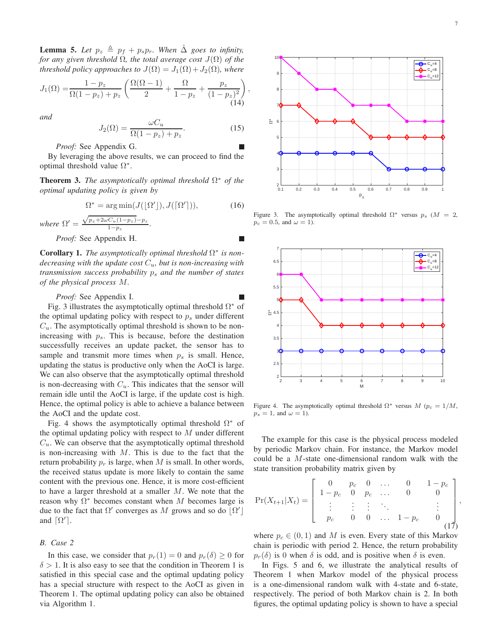<span id="page-6-2"></span>**Lemma 5.** Let  $p_z \triangleq p_f + p_s p_r$ . When  $\hat{\Delta}$  goes to infinity, *for any given threshold*  $\Omega$ *, the total average cost*  $J(\Omega)$  *of the threshold policy approaches to*  $J(\Omega) = J_1(\Omega) + J_2(\Omega)$ *, where* 

$$
J_1(\Omega) = \frac{1 - p_z}{\Omega(1 - p_z) + p_z} \left( \frac{\Omega(\Omega - 1)}{2} + \frac{\Omega}{1 - p_z} + \frac{p_z}{(1 - p_z)^2} \right),\tag{14}
$$

*and*

$$
J_2(\Omega) = \frac{\omega C_u}{\Omega(1 - p_z) + p_z}.\tag{15}
$$

П

*Proof:* See Appendix [G.](#page-11-3)

By leveraging the above results, we can proceed to find the optimal threshold value  $\Omega^*$ .

<span id="page-6-3"></span>**Theorem 3.** *The asymptotically optimal threshold*  $\Omega^*$  *of the optimal updating policy is given by*

$$
\Omega^* = \arg \min (J([\Omega^\prime]), J([\Omega^\prime])), \tag{16}
$$

where 
$$
\Omega' = \frac{\sqrt{p_z + 2\omega C_u(1-p_z) - p_z}}{1-p_z}.
$$

*Proof:* See Appendix [H.](#page-12-2)

<span id="page-6-4"></span>**Corollary 1.** The asymptotically optimal threshold  $\Omega^*$  is non*decreasing with the update cost* Cu*, but is non-increasing with transmission success probability* p<sup>s</sup> *and the number of states of the physical process* M*.*

#### *Proof:* See Appendix [I.](#page-12-3)

Fig. [3](#page-6-0) illustrates the asymptotically optimal threshold  $\Omega^*$  of the optimal updating policy with respect to  $p<sub>s</sub>$  under different  $C_u$ . The asymptotically optimal threshold is shown to be nonincreasing with  $p_s$ . This is because, before the destination successfully receives an update packet, the sensor has to sample and transmit more times when  $p_s$  is small. Hence, updating the status is productive only when the AoCI is large. We can also observe that the asymptotically optimal threshold is non-decreasing with  $C_u$ . This indicates that the sensor will remain idle until the AoCI is large, if the update cost is high. Hence, the optimal policy is able to achieve a balance between the AoCI and the update cost.

Fig. [4](#page-6-1) shows the asymptotically optimal threshold  $\Omega^*$  of the optimal updating policy with respect to  $M$  under different  $C_u$ . We can observe that the asymptotically optimal threshold is non-increasing with  $M$ . This is due to the fact that the return probability  $p_r$  is large, when M is small. In other words, the received status update is more likely to contain the same content with the previous one. Hence, it is more cost-efficient to have a larger threshold at a smaller M. We note that the reason why  $\Omega^*$  becomes constant when M becomes large is due to the fact that  $\Omega'$  converges as M grows and so do  $\lfloor \Omega' \rfloor$ and  $\lceil \Omega' \rceil$ .

# *B. Case 2*

In this case, we consider that  $p_r(1) = 0$  and  $p_r(\delta) > 0$  for  $\delta > 1$  $\delta > 1$ . It is also easy to see that the condition in Theorem 1 is satisfied in this special case and the optimal updating policy has a special structure with respect to the AoCI as given in Theorem [1.](#page-4-3) The optimal updating policy can also be obtained via Algorithm 1.



<span id="page-6-0"></span>Figure 3. The asymptotically optimal threshold  $\Omega^*$  versus  $p_s$  ( $M = 2$ ,  $p_c = 0.5$ , and  $\omega = 1$ ).



<span id="page-6-1"></span>Figure 4. The asymptotically optimal threshold  $\Omega^*$  versus  $M$  ( $p_c = 1/M$ ,  $p_s = 1$ , and  $\omega = 1$ ).

The example for this case is the physical process modeled by periodic Markov chain. For instance, the Markov model could be a M-state one-dimensional random walk with the state transition probability matrix given by

$$
\Pr(X_{t+1}|X_t) = \left[\begin{array}{ccccc} 0 & p_c & 0 & \dots & 0 & 1-p_c \\ 1-p_c & 0 & p_c & \dots & 0 & 0 \\ \vdots & \vdots & \vdots & \ddots & & \vdots \\ p_c & 0 & 0 & \dots & 1-p_c & 0 \\ (17)
$$

where  $p_c \in (0, 1)$  and M is even. Every state of this Markov chain is periodic with period 2. Hence, the return probability  $p_r(\delta)$  is 0 when  $\delta$  is odd, and is positive when  $\delta$  is even.

In Figs. [5](#page-7-0) and [6,](#page-7-1) we illustrate the analytical results of Theorem [1](#page-4-3) when Markov model of the physical process is a one-dimensional random walk with 4-state and 6-state, respectively. The period of both Markov chain is 2. In both figures, the optimal updating policy is shown to have a special

,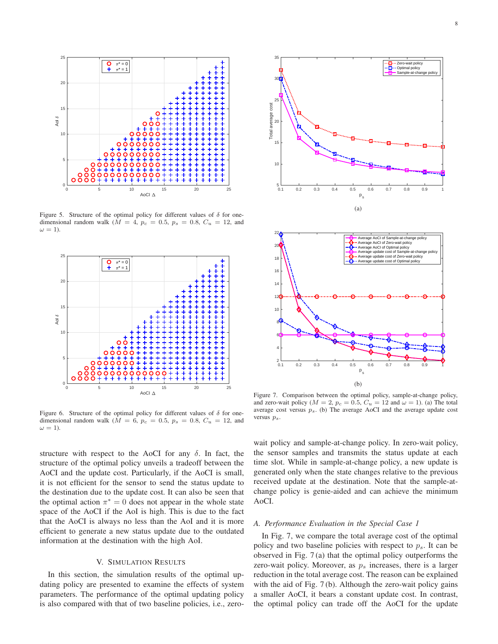

<span id="page-7-0"></span>Figure 5. Structure of the optimal policy for different values of  $\delta$  for onedimensional random walk ( $M = 4$ ,  $p_c = 0.5$ ,  $p_s = 0.8$ ,  $C_u = 12$ , and  $\omega = 1$ ).



<span id="page-7-1"></span>Figure 6. Structure of the optimal policy for different values of  $\delta$  for onedimensional random walk ( $\overline{M} = 6$ ,  $p_c = 0.5$ ,  $p_s = 0.8$ ,  $C_u = 12$ , and  $\omega = 1$ ).

structure with respect to the AoCI for any  $\delta$ . In fact, the structure of the optimal policy unveils a tradeoff between the AoCI and the update cost. Particularly, if the AoCI is small, it is not efficient for the sensor to send the status update to the destination due to the update cost. It can also be seen that the optimal action  $\pi^* = 0$  does not appear in the whole state space of the AoCI if the AoI is high. This is due to the fact that the AoCI is always no less than the AoI and it is more efficient to generate a new status update due to the outdated information at the destination with the high AoI.

#### V. SIMULATION RESULTS

In this section, the simulation results of the optimal updating policy are presented to examine the effects of system parameters. The performance of the optimal updating policy is also compared with that of two baseline policies, i.e., zero-





<span id="page-7-2"></span>Figure 7. Comparison between the optimal policy, sample-at-change policy, and zero-wait policy ( $M = 2$ ,  $p_c = 0.5$ ,  $C_u = 12$  and  $\omega = 1$ ). (a) The total average cost versus  $p_s$ . (b) The average AoCI and the average update cost versus  $p_s$ .

wait policy and sample-at-change policy. In zero-wait policy, the sensor samples and transmits the status update at each time slot. While in sample-at-change policy, a new update is generated only when the state changes relative to the previous received update at the destination. Note that the sample-atchange policy is genie-aided and can achieve the minimum AoCI.

## *A. Performance Evaluation in the Special Case 1*

In Fig. [7,](#page-7-2) we compare the total average cost of the optimal policy and two baseline policies with respect to  $p_s$ . It can be observed in Fig. [7](#page-7-2) (a) that the optimal policy outperforms the zero-wait policy. Moreover, as  $p<sub>s</sub>$  increases, there is a larger reduction in the total average cost. The reason can be explained with the aid of Fig. [7](#page-7-2) (b). Although the zero-wait policy gains a smaller AoCI, it bears a constant update cost. In contrast, the optimal policy can trade off the AoCI for the update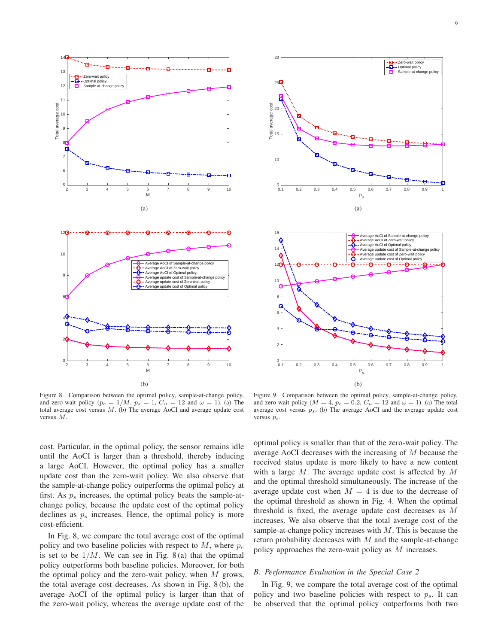

<span id="page-8-0"></span>Figure 8. Comparison between the optimal policy, sample-at-change policy, and zero-wait policy ( $p_c = 1/M$ ,  $p_s = 1$ ,  $C_u = 12$  and  $\omega = 1$ ). (a) The total average cost versus M. (b) The average AoCI and average update cost versus M.





<span id="page-8-1"></span>Figure 9. Comparison between the optimal policy, sample-at-change policy, and zero-wait policy ( $M = 4$ ,  $p_c = 0.2$ ,  $C_u = 12$  and  $\omega = 1$ ). (a) The total average cost versus  $p_s$ . (b) The average AoCI and the average update cost versus  $p_s$ .

cost. Particular, in the optimal policy, the sensor remains idle until the AoCI is larger than a threshold, thereby inducing a large AoCI. However, the optimal policy has a smaller update cost than the zero-wait policy. We also observe that the sample-at-change policy outperforms the optimal policy at first. As  $p_s$  increases, the optimal policy beats the sample-atchange policy, because the update cost of the optimal policy declines as  $p<sub>s</sub>$  increases. Hence, the optimal policy is more cost-efficient.

In Fig. [8,](#page-8-0) we compare the total average cost of the optimal policy and two baseline policies with respect to  $M$ , where  $p_c$ is set to be  $1/M$ . We can see in Fig. [8](#page-8-0)(a) that the optimal policy outperforms both baseline policies. Moreover, for both the optimal policy and the zero-wait policy, when  $M$  grows, the total average cost decreases. As shown in Fig. [8](#page-8-0) (b), the average AoCI of the optimal policy is larger than that of the zero-wait policy, whereas the average update cost of the optimal policy is smaller than that of the zero-wait policy. The average AoCI decreases with the increasing of M because the received status update is more likely to have a new content with a large  $M$ . The average update cost is affected by  $M$ and the optimal threshold simultaneously. The increase of the average update cost when  $M = 4$  is due to the decrease of the optimal threshold as shown in Fig. [4.](#page-6-1) When the optimal threshold is fixed, the average update cost decreases as  $M$ increases. We also observe that the total average cost of the sample-at-change policy increases with  $M$ . This is because the return probability decreases with  $M$  and the sample-at-change policy approaches the zero-wait policy as M increases.

### *B. Performance Evaluation in the Special Case 2*

In Fig. [9,](#page-8-1) we compare the total average cost of the optimal policy and two baseline policies with respect to  $p_s$ . It can be observed that the optimal policy outperforms both two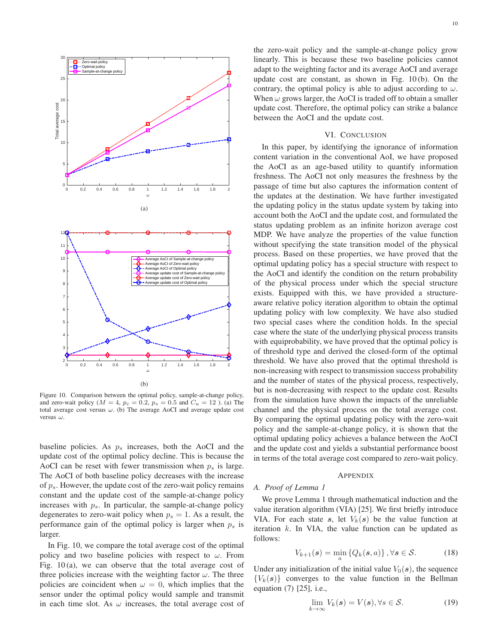

<span id="page-9-1"></span>Figure 10. Comparison between the optimal policy, sample-at-change policy, and zero-wait policy ( $M = 4$ ,  $p_c = 0.2$ ,  $p_s = 0.5$  and  $C_u = 12$ ). (a) The total average cost versus  $\omega$ . (b) The average AoCI and average update cost versus  $\omega$ .

baseline policies. As  $p_s$  increases, both the AoCI and the update cost of the optimal policy decline. This is because the AoCI can be reset with fewer transmission when  $p_s$  is large. The AoCI of both baseline policy decreases with the increase of  $p_s$ . However, the update cost of the zero-wait policy remains constant and the update cost of the sample-at-change policy increases with  $p_s$ . In particular, the sample-at-change policy degenerates to zero-wait policy when  $p_s = 1$ . As a result, the performance gain of the optimal policy is larger when  $p_s$  is larger.

In Fig. [10,](#page-9-1) we compare the total average cost of the optimal policy and two baseline policies with respect to  $\omega$ . From Fig. [10](#page-9-1) (a), we can observe that the total average cost of three policies increase with the weighting factor  $\omega$ . The three policies are coincident when  $\omega = 0$ , which implies that the sensor under the optimal policy would sample and transmit in each time slot. As  $\omega$  increases, the total average cost of

the zero-wait policy and the sample-at-change policy grow linearly. This is because these two baseline policies cannot adapt to the weighting factor and its average AoCI and average update cost are constant, as shown in Fig. [10](#page-9-1) (b). On the contrary, the optimal policy is able to adjust according to  $\omega$ . When  $\omega$  grows larger, the AoCI is traded off to obtain a smaller update cost. Therefore, the optimal policy can strike a balance between the AoCI and the update cost.

## VI. CONCLUSION

In this paper, by identifying the ignorance of information content variation in the conventional AoI, we have proposed the AoCI as an age-based utility to quantify information freshness. The AoCI not only measures the freshness by the passage of time but also captures the information content of the updates at the destination. We have further investigated the updating policy in the status update system by taking into account both the AoCI and the update cost, and formulated the status updating problem as an infinite horizon average cost MDP. We have analyze the properties of the value function without specifying the state transition model of the physical process. Based on these properties, we have proved that the optimal updating policy has a special structure with respect to the AoCI and identify the condition on the return probability of the physical process under which the special structure exists. Equipped with this, we have provided a structureaware relative policy iteration algorithm to obtain the optimal updating policy with low complexity. We have also studied two special cases where the condition holds. In the special case where the state of the underlying physical process transits with equiprobability, we have proved that the optimal policy is of threshold type and derived the closed-form of the optimal threshold. We have also proved that the optimal threshold is non-increasing with respect to transmission success probability and the number of states of the physical process, respectively, but is non-decreasing with respect to the update cost. Results from the simulation have shown the impacts of the unreliable channel and the physical process on the total average cost. By comparing the optimal updating policy with the zero-wait policy and the sample-at-change policy, it is shown that the optimal updating policy achieves a balance between the AoCI and the update cost and yields a substantial performance boost in terms of the total average cost compared to zero-wait policy.

#### APPENDIX

## <span id="page-9-0"></span>*A. Proof of Lemma [1](#page-4-4)*

We prove Lemma [1](#page-4-4) through mathematical induction and the value iteration algorithm (VIA) [\[25\]](#page-13-19). We first briefly introduce VIA. For each state s, let  $V_k(s)$  be the value function at iteration  $k$ . In VIA, the value function can be updated as follows:

$$
V_{k+1}(s) = \min_{a} \left\{ Q_k(s, a) \right\}, \forall s \in \mathcal{S}.
$$
 (18)

Under any initialization of the initial value  $V_0(s)$ , the sequence  ${V_k(s)}$  converges to the value function in the Bellman equation [\(7\)](#page-4-2) [\[25\]](#page-13-19), i.e.,

<span id="page-9-2"></span>
$$
\lim_{k \to \infty} V_k(s) = V(s), \forall s \in \mathcal{S}.
$$
\n(19)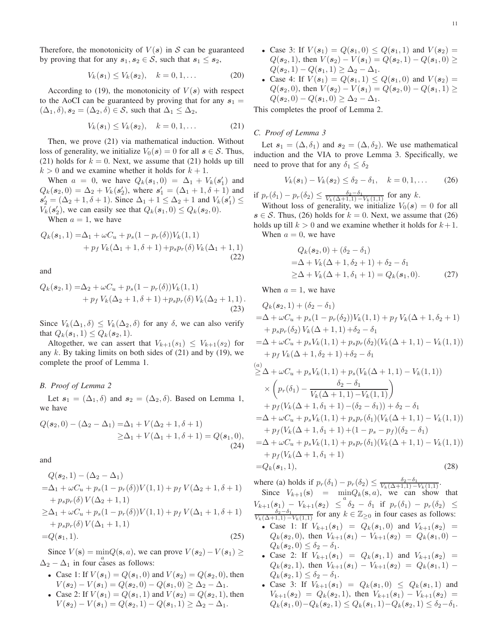Therefore, the monotonicity of  $V(s)$  in S can be guaranteed by proving that for any  $s_1, s_2 \in S$ , such that  $s_1 \leq s_2$ ,

$$
V_k(s_1) \le V_k(s_2), \quad k = 0, 1, ... \tag{20}
$$

According to [\(19\)](#page-9-2), the monotonicity of  $V(s)$  with respect to the AoCI can be guaranteed by proving that for any  $s_1 =$  $(\Delta_1, \delta), s_2 = (\Delta_2, \delta) \in S$ , such that  $\Delta_1 \leq \Delta_2$ ,

<span id="page-10-2"></span>
$$
V_k(s_1) \le V_k(s_2), \quad k = 0, 1, ... \tag{21}
$$

Then, we prove [\(21\)](#page-10-2) via mathematical induction. Without loss of generality, we initialize  $V_0(s) = 0$  for all  $s \in \mathcal{S}$ . Thus, [\(21\)](#page-10-2) holds for  $k = 0$ . Next, we assume that (21) holds up till  $k > 0$  and we examine whether it holds for  $k + 1$ .

When  $a = 0$ , we have  $Q_k(s_1, 0) = \Delta_1 + V_k(s'_1)$  and  $Q_k(s_2, 0) = \Delta_2 + V_k(s'_2)$ , where  $s'_1 = (\Delta_1 + 1, \delta + 1)$  and  $s'_2 = (\Delta_2 + 1, \delta + 1)$ . Since  $\Delta_1 + 1 \leq \Delta_2 + 1$  and  $V_k(s'_1) \leq$  $V_k(\mathbf{s}_2')$ , we can easily see that  $Q_k(\mathbf{s}_1, 0) \leq Q_k(\mathbf{s}_2, 0)$ .

When  $a = 1$ , we have

$$
Q_k(s_1, 1) = \Delta_1 + \omega C_u + p_s(1 - p_r(\delta))V_k(1, 1) + p_f V_k(\Delta_1 + 1, \delta + 1) + p_s p_r(\delta) V_k(\Delta_1 + 1, 1)
$$
\n(22)

and

$$
Q_k(s_2, 1) = \Delta_2 + \omega C_u + p_s (1 - p_r(\delta)) V_k(1, 1) + p_f V_k(\Delta_2 + 1, \delta + 1) + p_s p_r(\delta) V_k(\Delta_2 + 1, 1).
$$
\n(23)

Since  $V_k(\Delta_1, \delta) \leq V_k(\Delta_2, \delta)$  for any  $\delta$ , we can also verify that  $Q_k(s_1, 1) \leq Q_k(s_2, 1)$ .

Altogether, we can assert that  $V_{k+1}(s_1) \leq V_{k+1}(s_2)$  for any  $k$ . By taking limits on both sides of [\(21\)](#page-10-2) and by [\(19\)](#page-9-2), we complete the proof of Lemma [1.](#page-4-4)

#### <span id="page-10-0"></span>*B. Proof of Lemma [2](#page-4-5)*

Let  $s_1 = (\Delta_1, \delta)$  and  $s_2 = (\Delta_2, \delta)$ . Based on Lemma [1,](#page-4-4) we have

$$
Q(\mathbf{s}_2, 0) - (\Delta_2 - \Delta_1) = \Delta_1 + V(\Delta_2 + 1, \delta + 1)
$$
  
\n
$$
\geq \Delta_1 + V(\Delta_1 + 1, \delta + 1) = Q(\mathbf{s}_1, 0),
$$
  
\n(24)

and

$$
Q(s_2, 1) - (\Delta_2 - \Delta_1)
$$
  
=\Delta\_1 + \omega C\_u + p\_s(1 - p\_r(\delta))V(1, 1) + p\_f V(\Delta\_2 + 1, \delta + 1)  
+ p\_s p\_r(\delta) V(\Delta\_2 + 1, 1)  
\ge \Delta\_1 + \omega C\_u + p\_s(1 - p\_r(\delta))V(1, 1) + p\_f V(\Delta\_1 + 1, \delta + 1)  
+ p\_s p\_r(\delta) V(\Delta\_1 + 1, 1)   
=Q(s\_1, 1). (25)

Since  $V(s) = \min_{a} Q(s, a)$ , we can prove  $V(s_2) - V(s_1) \ge$  $\Delta_2 - \Delta_1$  in four cases as follows:

- Case 1: If  $V(s_1) = Q(s_1, 0)$  and  $V(s_2) = Q(s_2, 0)$ , then  $V(\mathbf{s}_2) - V(\mathbf{s}_1) = Q(\mathbf{s}_2, 0) - Q(\mathbf{s}_1, 0) \geq \Delta_2 - \Delta_1.$
- Case 2: If  $V(s_1) = Q(s_1, 1)$  and  $V(s_2) = Q(s_2, 1)$ , then  $V(s_2) - V(s_1) = Q(s_2, 1) - Q(s_1, 1) \ge \Delta_2 - \Delta_1.$
- Case 3: If  $V(s_1) = Q(s_1, 0) \leq Q(s_1, 1)$  and  $V(s_2) =$  $Q(\mathbf{s}_2, 1)$ , then  $V(\mathbf{s}_2) - V(\mathbf{s}_1) = Q(\mathbf{s}_2, 1) - Q(\mathbf{s}_1, 0) \ge$  $Q(s_2, 1) - Q(s_1, 1) \geq \Delta_2 - \Delta_1.$
- Case 4: If  $V(s_1) = Q(s_1, 1) \leq Q(s_1, 0)$  and  $V(s_2) =$  $Q(\mathbf{s}_2, 0)$ , then  $V(\mathbf{s}_2) - V(\mathbf{s}_1) = Q(\mathbf{s}_2, 0) - Q(\mathbf{s}_1, 1) \ge$  $Q(\mathbf{s}_2, 0) - Q(\mathbf{s}_1, 0) \geq \Delta_2 - \Delta_1.$

This completes the proof of Lemma [2.](#page-4-5)

#### <span id="page-10-1"></span>*C. Proof of Lemma [3](#page-4-6)*

Let  $s_1 = (\Delta, \delta_1)$  and  $s_2 = (\Delta, \delta_2)$ . We use mathematical induction and the VIA to prove Lemma [3.](#page-4-6) Specifically, we need to prove that for any  $\delta_1 \leq \delta_2$ 

<span id="page-10-3"></span>
$$
V_k(s_1) - V_k(s_2) \le \delta_2 - \delta_1, \quad k = 0, 1, \dots \tag{26}
$$

if  $p_r(\delta_1) - p_r(\delta_2) \le \frac{\delta_2 - \delta_1}{V_k(\Delta + 1, 1) - V_k(1, 1)}$  for any k.

Without loss of generality, we initialize  $V_0(s) = 0$  for all  $s \in S$ . Thus, [\(26\)](#page-10-3) holds for  $k = 0$ . Next, we assume that (26) holds up till  $k > 0$  and we examine whether it holds for  $k+1$ . When  $a = 0$ , we have

$$
Q_k(s_2, 0) + (\delta_2 - \delta_1)
$$
  
=  $\Delta + V_k(\Delta + 1, \delta_2 + 1) + \delta_2 - \delta_1$   
 $\geq \Delta + V_k(\Delta + 1, \delta_1 + 1) = Q_k(s_1, 0).$  (27)

When  $a = 1$ , we have

$$
Q_k(s_2, 1) + (\delta_2 - \delta_1)
$$
  
=  $\Delta + \omega C_u + p_s(1 - p_r(\delta_2))V_k(1, 1) + p_f V_k(\Delta + 1, \delta_2 + 1)$   
+  $p_s p_r(\delta_2) V_k(\Delta + 1, 1) + \delta_2 - \delta_1$   
=  $\Delta + \omega C_u + p_s V_k(1, 1) + p_s p_r(\delta_2) (V_k(\Delta + 1, 1) - V_k(1, 1))$   
+  $p_f V_k(\Delta + 1, \delta_2 + 1) + \delta_2 - \delta_1$ 

$$
\geq \Delta + \omega C_u + p_s V_k(1,1) + p_s (V_k(\Delta + 1,1) - V_k(1,1))
$$
  
\n
$$
\times \left( p_r(\delta_1) - \frac{\delta_2 - \delta_1}{V_k(\Delta + 1,1) - V_k(1,1)} \right)
$$
  
\n
$$
+ p_f (V_k(\Delta + 1, \delta_1 + 1) - (\delta_2 - \delta_1)) + \delta_2 - \delta_1
$$
  
\n
$$
= \Delta + \omega C_u + p_s V_k(1,1) + p_s p_r(\delta_1) (V_k(\Delta + 1,1) - V_k(1,1))
$$
  
\n
$$
+ p_f (V_k(\Delta + 1, \delta_1 + 1) + (1 - p_s - p_f)(\delta_2 - \delta_1)
$$
  
\n
$$
= \Delta + \omega C_u + p_s V_k(1,1) + p_s p_r(\delta_1) (V_k(\Delta + 1,1) - V_k(1,1))
$$
  
\n
$$
+ p_f (V_k(\Delta + 1, \delta_1 + 1)
$$
  
\n
$$
= Q_k(s_1,1),
$$
\n(28)

where (a) holds if  $p_r(\delta_1) - p_r(\delta_2) \le \frac{\delta_2 - \delta_1}{V_k(\Delta + 1, 1) - V_k(1, 1)}$ .

Since  $V_{k+1}(\mathbf{s}) = \min_{a} Q_k(\mathbf{s}, a)$ , we can show that  $V_{k+1}(s_1) - V_{k+1}(s_2) \leq \delta_2 - \delta_1$  if  $p_r(\delta_1) - p_r(\delta_2) \leq \frac{\delta_2 - \delta_1}{V_k(\Delta + 1, 1) - V_k(1, 1)}$  for any  $k \in \mathbb{Z}_{\geq 0}$  in four cases as follows:

- Case 1: If  $V_{k+1}(s_1) = Q_k(s_1, 0)$  and  $V_{k+1}(s_2) =$  $Q_k(s_2, 0)$ , then  $V_{k+1}(s_1) - V_{k+1}(s_2) = Q_k(s_1, 0) Q_k(\mathbf{s}_2, 0) \leq \delta_2 - \delta_1.$
- Case 2: If  $V_{k+1}(s_1) = Q_k(s_1, 1)$  and  $V_{k+1}(s_2) =$  $Q_k(s_2, 1)$ , then  $V_{k+1}(s_1) - V_{k+1}(s_2) = Q_k(s_1, 1) Q_k(\mathbf{s}_2,1) \leq \delta_2 - \delta_1.$
- Case 3: If  $V_{k+1}(s_1) = Q_k(s_1, 0) \leq Q_k(s_1, 1)$  and  $V_{k+1}(s_2) = Q_k(s_2, 1)$ , then  $V_{k+1}(s_1) - V_{k+1}(s_2) =$  $Q_k({\pmb s}_1, 0) - Q_k({\pmb s}_2, 1) \leq Q_k({\pmb s}_1, 1) - Q_k({\pmb s}_2, 1) \leq \delta_2 - \delta_1.$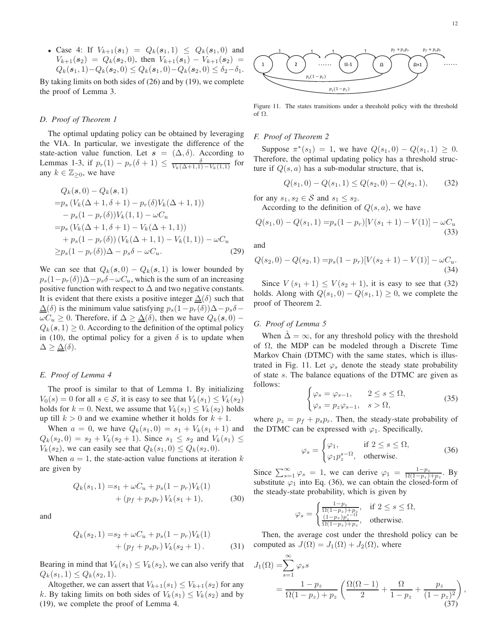• Case 4: If  $V_{k+1}(s_1) = Q_k(s_1, 1) \leq Q_k(s_1, 0)$  and  $V_{k+1}(s_2) = Q_k(s_2, 0)$ , then  $V_{k+1}(s_1) - V_{k+1}(s_2) =$  $Q_k(s_1, 1) - Q_k(s_2, 0) \leq Q_k(s_1, 0) - Q_k(s_2, 0) \leq \delta_2 - \delta_1.$ 

By taking limits on both sides of [\(26\)](#page-10-3) and by [\(19\)](#page-9-2), we complete the proof of Lemma [3.](#page-4-6)

## <span id="page-11-0"></span>*D. Proof of Theorem [1](#page-4-3)*

The optimal updating policy can be obtained by leveraging the VIA. In particular, we investigate the difference of the state-action value function. Let  $s = (\Delta, \delta)$ . According to Lemmas [1-](#page-4-4)[3,](#page-4-6) if  $p_r(1) - p_r(\delta + 1) \le \frac{\delta}{V_k(\Delta + 1, 1) - V_k(1, 1)}$  for any  $k \in \mathbb{Z}_{\geq 0}$ , we have

$$
Q_k(s, 0) - Q_k(s, 1)
$$
  
= $p_s (V_k(\Delta + 1, \delta + 1) - p_r(\delta)V_k(\Delta + 1, 1))$   
 $- p_s(1 - p_r(\delta))V_k(1, 1) - \omega C_u$   
= $p_s (V_k(\Delta + 1, \delta + 1) - V_k(\Delta + 1, 1))$   
 $+ p_s(1 - p_r(\delta)) (V_k(\Delta + 1, 1) - V_k(1, 1)) - \omega C_u$   
 $\geq p_s (1 - p_r(\delta))\Delta - p_s \delta - \omega C_u.$  (29)

We can see that  $Q_k(s, 0) - Q_k(s, 1)$  is lower bounded by  $p_s(1-p_r(\delta))\Delta-p_s\delta-\omega C_u$ , which is the sum of an increasing positive function with respect to  $\Delta$  and two negative constants. It is evident that there exists a positive integer  $\Delta(\delta)$  such that  $\Delta(\delta)$  is the minimum value satisfying  $p_s(1-p_r(\delta))\Delta-p_s\delta$  –  $\omega C_u \geq 0$ . Therefore, if  $\Delta \geq \Delta(\delta)$ , then we have  $Q_k(s, 0)$  –  $Q_k(s, 1) \geq 0$ . According to the definition of the optimal policy in [\(10\)](#page-4-7), the optimal policy for a given  $\delta$  is to update when  $\Delta \geq \underline{\Delta}(\delta).$ 

## <span id="page-11-1"></span>*E. Proof of Lemma [4](#page-5-2)*

The proof is similar to that of Lemma [1.](#page-4-4) By initializing  $V_0(s) = 0$  for all  $s \in S$ , it is easy to see that  $V_k(s_1) \leq V_k(s_2)$ holds for  $k = 0$ . Next, we assume that  $V_k(s_1) \leq V_k(s_2)$  holds up till  $k > 0$  and we examine whether it holds for  $k + 1$ .

When  $a = 0$ , we have  $Q_k(s_1, 0) = s_1 + V_k(s_1 + 1)$  and  $Q_k(s_2, 0) = s_2 + V_k(s_2 + 1)$ . Since  $s_1 \leq s_2$  and  $V_k(s_1) \leq$  $V_k(s_2)$ , we can easily see that  $Q_k(s_1, 0) \leq Q_k(s_2, 0)$ .

When  $a = 1$ , the state-action value functions at iteration k are given by

$$
Q_k(s_1, 1) = s_1 + \omega C_u + p_s(1 - p_r)V_k(1)
$$
  
+ 
$$
(p_f + p_s p_r) V_k(s_1 + 1),
$$
 (30)

and

$$
Q_k(s_2, 1) = s_2 + \omega C_u + p_s(1 - p_r)V_k(1)
$$
  
+ 
$$
(p_f + p_s p_r) V_k(s_2 + 1).
$$
 (31)

Bearing in mind that  $V_k(s_1) \leq V_k(s_2)$ , we can also verify that  $Q_k(s_1,1) \leq Q_k(s_2,1).$ 

Altogether, we can assert that  $V_{k+1}(s_1) \leq V_{k+1}(s_2)$  for any k. By taking limits on both sides of  $V_k(s_1) \leq V_k(s_2)$  and by [\(19\)](#page-9-2), we complete the proof of Lemma [4.](#page-5-2)



<span id="page-11-5"></span>Figure 11. The states transitions under a threshold policy with the threshold of Ω.

#### <span id="page-11-2"></span>*F. Proof of Theorem [2](#page-5-1)*

Suppose  $\pi^*(s_1) = 1$ , we have  $Q(s_1, 0) - Q(s_1, 1) \ge 0$ . Therefore, the optimal updating policy has a threshold structure if  $Q(s, a)$  has a sub-modular structure, that is,

<span id="page-11-4"></span>
$$
Q(s_1,0) - Q(s_1,1) \le Q(s_2,0) - Q(s_2,1), \qquad (32)
$$

for any  $s_1, s_2 \in \mathcal{S}$  and  $s_1 \leq s_2$ .

According to the definition of  $Q(s, a)$ , we have

$$
Q(s_1,0) - Q(s_1,1) = p_s(1-p_r)[V(s_1+1) - V(1)] - \omega C_u
$$
\n(33)

and

$$
Q(s_2,0) - Q(s_2,1) = p_s(1-p_r)[V(s_2+1) - V(1)] - \omega C_u.
$$
\n(34)

Since  $V(s_1 + 1) \le V(s_2 + 1)$ , it is easy to see that [\(32\)](#page-11-4) holds. Along with  $Q(s_1, 0) - Q(s_1, 1) \geq 0$ , we complete the proof of Theorem [2.](#page-5-1)

## <span id="page-11-3"></span>*G. Proof of Lemma [5](#page-6-2)*

When  $\hat{\Delta} = \infty$ , for any threshold policy with the threshold of  $\Omega$ , the MDP can be modeled through a Discrete Time Markov Chain (DTMC) with the same states, which is illus-trated in Fig. [11.](#page-11-5) Let  $\varphi_s$  denote the steady state probability of state s. The balance equations of the DTMC are given as follows:

$$
\begin{cases} \varphi_s = \varphi_{s-1}, & 2 \le s \le \Omega, \\ \varphi_s = p_z \varphi_{s-1}, & s > \Omega, \end{cases}
$$
 (35)

where  $p_z = p_f + p_s p_r$ . Then, the steady-state probability of the DTMC can be expressed with  $\varphi_1$ . Specifically,

<span id="page-11-6"></span>
$$
\varphi_s = \begin{cases} \varphi_1, & \text{if } 2 \le s \le \Omega, \\ \varphi_1 p_z^{s-\Omega}, & \text{otherwise.} \end{cases} \tag{36}
$$

Since  $\sum_{s=1}^{\infty} \varphi_s = 1$ , we can derive  $\varphi_1 = \frac{1-p_z}{\Omega(1-p_z)+p_z}$ . By substitute  $\varphi_1$  into Eq. [\(36\)](#page-11-6), we can obtain the closed-form of the steady-state probability, which is given by

$$
\varphi_s = \begin{cases} \frac{1-p_z}{\Omega(1-p_z)+p_z}, & \text{if } 2 \le s \le \Omega, \\ \frac{(1-p_z)p_z^s}{\Omega(1-p_z)+p_z}, & \text{otherwise.} \end{cases}
$$

Then, the average cost under the threshold policy can be computed as  $J(\Omega) = J_1(\Omega) + J_2(\Omega)$ , where

$$
J_1(\Omega) = \sum_{s=1}^{\infty} \varphi_s s
$$
  
= 
$$
\frac{1 - p_z}{\Omega(1 - p_z) + p_z} \left( \frac{\Omega(\Omega - 1)}{2} + \frac{\Omega}{1 - p_z} + \frac{p_z}{(1 - p_z)^2} \right)
$$
  
(37)

,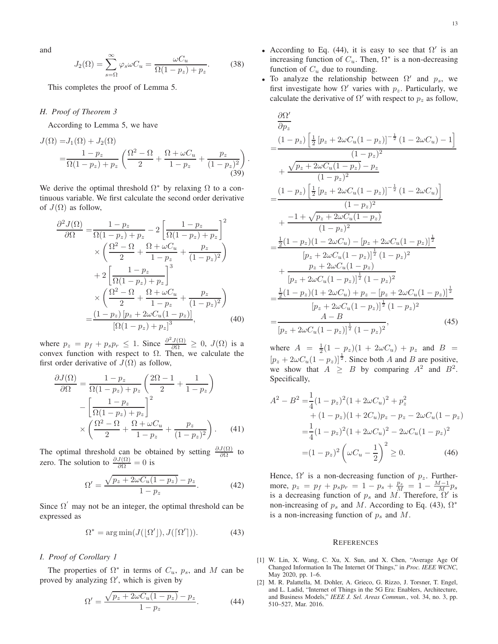and

$$
J_2(\Omega) = \sum_{s=\Omega}^{\infty} \varphi_s \omega C_u = \frac{\omega C_u}{\Omega(1 - p_z) + p_z}.
$$
 (38)

This completes the proof of Lemma [5.](#page-6-2)

# <span id="page-12-2"></span>*H. Proof of Theorem [3](#page-6-3)*

According to Lemma [5,](#page-6-2) we have

$$
J(\Omega) = J_1(\Omega) + J_2(\Omega)
$$
  
=  $\frac{1 - p_z}{\Omega(1 - p_z) + p_z} \left( \frac{\Omega^2 - \Omega}{2} + \frac{\Omega + \omega C_u}{1 - p_z} + \frac{p_z}{(1 - p_z)^2} \right)$   
(39)

.

We derive the optimal threshold  $\Omega^*$  by relaxing  $\Omega$  to a continuous variable. We first calculate the second order derivative of  $J(\Omega)$  as follow,

$$
\frac{\partial^2 J(\Omega)}{\partial \Omega} = \frac{1 - p_z}{\Omega(1 - p_z) + p_z} - 2 \left[ \frac{1 - p_z}{\Omega(1 - p_z) + p_z} \right]^2 \times \left( \frac{\Omega^2 - \Omega}{2} + \frac{\Omega + \omega C_u}{1 - p_z} + \frac{p_z}{(1 - p_z)^2} \right) \n+ 2 \left[ \frac{1 - p_z}{\Omega(1 - p_z) + p_z} \right]^3 \times \left( \frac{\Omega^2 - \Omega}{2} + \frac{\Omega + \omega C_u}{1 - p_z} + \frac{p_z}{(1 - p_z)^2} \right) \n= \frac{(1 - p_z) [p_z + 2\omega C_u(1 - p_z)]}{[\Omega(1 - p_z) + p_z]^3}, \tag{40}
$$

where  $p_z = p_f + p_s p_r \le 1$ . Since  $\frac{\partial^2 J(\Omega)}{\partial \Omega} \ge 0$ ,  $J(\Omega)$  is a convex function with respect to Ω. Then, we calculate the first order derivative of  $J(\Omega)$  as follow,

$$
\frac{\partial J(\Omega)}{\partial \Omega} = \frac{1 - p_z}{\Omega(1 - p_z) + p_z} \left(\frac{2\Omega - 1}{2} + \frac{1}{1 - p_z}\right)
$$

$$
- \left[\frac{1 - p_z}{\Omega(1 - p_z) + p_z}\right]^2
$$

$$
\times \left(\frac{\Omega^2 - \Omega}{2} + \frac{\Omega + \omega C_u}{1 - p_z} + \frac{p_z}{(1 - p_z)^2}\right). \tag{41}
$$

The optimal threshold can be obtained by setting  $\frac{\partial J(\Omega)}{\partial \Omega}$  to zero. The solution to  $\frac{\partial J(\Omega)}{\partial \Omega} = 0$  is

$$
\Omega' = \frac{\sqrt{p_z + 2\omega C_u (1 - p_z)} - p_z}{1 - p_z}.
$$
 (42)

Since  $\Omega'$  may not be an integer, the optimal threshold can be expressed as

<span id="page-12-5"></span>
$$
\Omega^* = \arg \min (J([\Omega']) , J([\Omega']) ). \tag{43}
$$

#### <span id="page-12-3"></span>*I. Proof of Corollary [1](#page-6-4)*

The properties of  $\Omega^*$  in terms of  $C_u$ ,  $p_s$ , and M can be proved by analyzing  $\Omega'$ , which is given by

<span id="page-12-4"></span>
$$
\Omega' = \frac{\sqrt{p_z + 2\omega C_u (1 - p_z)} - p_z}{1 - p_z}.
$$
\n(44)

- According to Eq. [\(44\)](#page-12-4), it is easy to see that  $\Omega'$  is an increasing function of  $C_u$ . Then,  $\Omega^*$  is a non-decreasing function of  $C_u$  due to rounding.
- To analyze the relationship between  $\Omega'$  and  $p_s$ , we first investigate how  $\Omega'$  varies with  $p_z$ . Particularly, we calculate the derivative of  $\Omega'$  with respect to  $p_z$  as follow,

$$
\frac{\partial \Omega'}{\partial p_z}
$$
\n
$$
= \frac{(1 - p_z) \left[ \frac{1}{2} \left[ p_z + 2\omega C_u (1 - p_z) \right]^{-\frac{1}{2}} (1 - 2\omega C_u) - 1 \right]}{(1 - p_z)^2}
$$
\n
$$
+ \frac{\sqrt{p_z + 2\omega C_u (1 - p_z) - p_z}}{(1 - p_z)^2}
$$
\n
$$
= \frac{(1 - p_z) \left[ \frac{1}{2} \left[ p_z + 2\omega C_u (1 - p_z) \right]^{-\frac{1}{2}} (1 - 2\omega C_u) \right]}{(1 - p_z)^2}
$$
\n
$$
+ \frac{-1 + \sqrt{p_z + 2\omega C_u (1 - p_z)}}{(1 - p_z)^2}
$$
\n
$$
= \frac{\frac{1}{2} (1 - p_z)(1 - 2\omega C_u) - [p_z + 2\omega C_u (1 - p_z)]^{\frac{1}{2}}}{[p_z + 2\omega C_u (1 - p_z)]^{\frac{1}{2}} (1 - p_z)^2}
$$
\n
$$
+ \frac{p_z + 2\omega C_u (1 - p_z)}{[p_z + 2\omega C_u (1 - p_z)]^{\frac{1}{2}} (1 - p_z)^2}
$$
\n
$$
= \frac{\frac{1}{2} (1 - p_z)(1 + 2\omega C_u) + p_z - [p_z + 2\omega C_u (1 - p_z)]^{\frac{1}{2}}}{[p_z + 2\omega C_u (1 - p_z)]^{\frac{1}{2}} (1 - p_z)^2}
$$
\n
$$
= \frac{A - B}{[p_z + 2\omega C_u (1 - p_z)]^{\frac{1}{2}} (1 - p_z)^2}, \qquad (45)
$$

where  $A = \frac{1}{2}(1 - p_z)(1 + 2\omega C_u) + p_z$  and  $B =$  $[p_z + 2\omega C_u(1-p_z)]^{\frac{1}{2}}$ . Since both A and B are positive, we show that  $A \geq B$  by comparing  $A^2$  and  $B^2$ . Specifically,

$$
A^{2} - B^{2} = \frac{1}{4}(1 - p_{z})^{2}(1 + 2\omega C_{u})^{2} + p_{z}^{2}
$$
  
+  $(1 - p_{z})(1 + 2C_{u})p_{z} - p_{z} - 2\omega C_{u}(1 - p_{z})$   
=  $\frac{1}{4}(1 - p_{z})^{2}(1 + 2\omega C_{u})^{2} - 2\omega C_{u}(1 - p_{z})^{2}$   
=  $(1 - p_{z})^{2} \left(\omega C_{u} - \frac{1}{2}\right)^{2} \ge 0.$  (46)

Hence,  $\Omega'$  is a non-decreasing function of  $p_z$ . Furthermore,  $p_z = p_f + p_s p_r = 1 - p_s + \frac{p_s}{M} = 1 - \frac{M-1}{M} p_s$ is a decreasing function of  $p_s$  and M. Therefore,  $\Omega'$  is non-increasing of  $p_s$  and M. According to Eq. [\(43\)](#page-12-5),  $\Omega^*$ is a non-increasing function of  $p_s$  and  $M$ .

#### **REFERENCES**

- <span id="page-12-0"></span>[1] W. Lin, X. Wang, C. Xu, X. Sun, and X. Chen, "Average Age Of Changed Information In The Internet Of Things," in *Proc. IEEE WCNC*, May 2020, pp. 1–6.
- <span id="page-12-1"></span>[2] M. R. Palattella, M. Dohler, A. Grieco, G. Rizzo, J. Torsner, T. Engel, and L. Ladid, "Internet of Things in the 5G Era: Enablers, Architecture, and Business Models," *IEEE J. Sel. Areas Commun.*, vol. 34, no. 3, pp. 510–527, Mar. 2016.